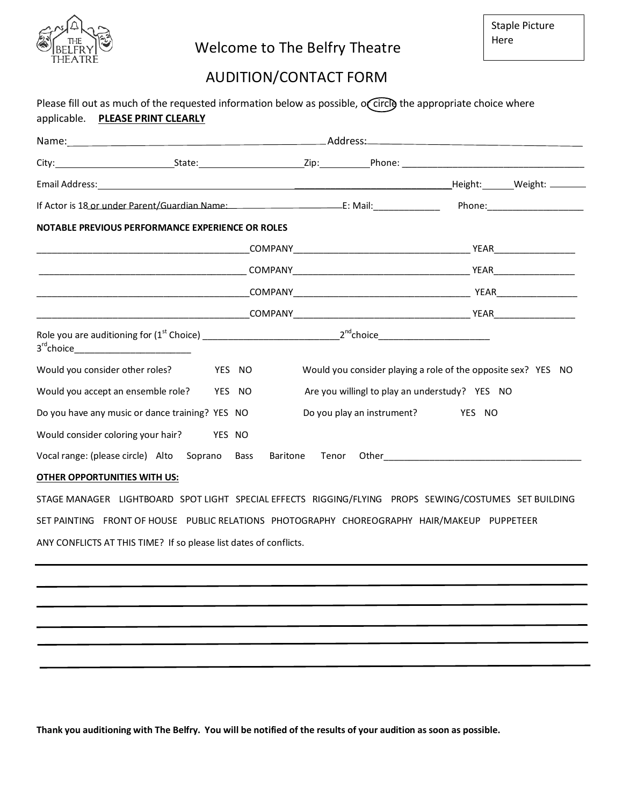

## Welcome to The Belfry Theatre

## AUDITION/CONTACT FORM

| Please fill out as much of the requested information below as possible, occircle the appropriate choice where<br>applicable. PLEASE PRINT CLEARLY |  |        |  |                                                               |  |  |  |
|---------------------------------------------------------------------------------------------------------------------------------------------------|--|--------|--|---------------------------------------------------------------|--|--|--|
|                                                                                                                                                   |  |        |  |                                                               |  |  |  |
|                                                                                                                                                   |  |        |  |                                                               |  |  |  |
|                                                                                                                                                   |  |        |  |                                                               |  |  |  |
|                                                                                                                                                   |  |        |  |                                                               |  |  |  |
| NOTABLE PREVIOUS PERFORMANCE EXPERIENCE OR ROLES                                                                                                  |  |        |  |                                                               |  |  |  |
|                                                                                                                                                   |  |        |  |                                                               |  |  |  |
|                                                                                                                                                   |  |        |  |                                                               |  |  |  |
|                                                                                                                                                   |  |        |  |                                                               |  |  |  |
|                                                                                                                                                   |  |        |  |                                                               |  |  |  |
| 3 <sup>rd</sup> choice__________________________                                                                                                  |  |        |  |                                                               |  |  |  |
| Would you consider other roles?                                                                                                                   |  | YES NO |  | Would you consider playing a role of the opposite sex? YES NO |  |  |  |
| Would you accept an ensemble role? YES NO                                                                                                         |  |        |  | Are you willingl to play an understudy? YES NO                |  |  |  |
| Do you have any music or dance training? YES NO                                                                                                   |  |        |  | Do you play an instrument? YES NO                             |  |  |  |
| Would consider coloring your hair? YES NO                                                                                                         |  |        |  |                                                               |  |  |  |
| Vocal range: (please circle) Alto Soprano Bass Baritone Tenor Other ________________________________                                              |  |        |  |                                                               |  |  |  |
| OTHER OPPORTUNITIES WITH US:                                                                                                                      |  |        |  |                                                               |  |  |  |
| STAGE MANAGER LIGHTBOARD SPOT LIGHT SPECIAL EFFECTS RIGGING/FLYING PROPS SEWING/COSTUMES SET BUILDING                                             |  |        |  |                                                               |  |  |  |
| SET PAINTING FRONT OF HOUSE PUBLIC RELATIONS PHOTOGRAPHY CHOREOGRAPHY HAIR/MAKEUP PUPPETEER                                                       |  |        |  |                                                               |  |  |  |
| ANY CONFLICTS AT THIS TIME? If so please list dates of conflicts.                                                                                 |  |        |  |                                                               |  |  |  |

**Thank you auditioning with The Belfry. You will be notified of the results of your audition as soon as possible.**